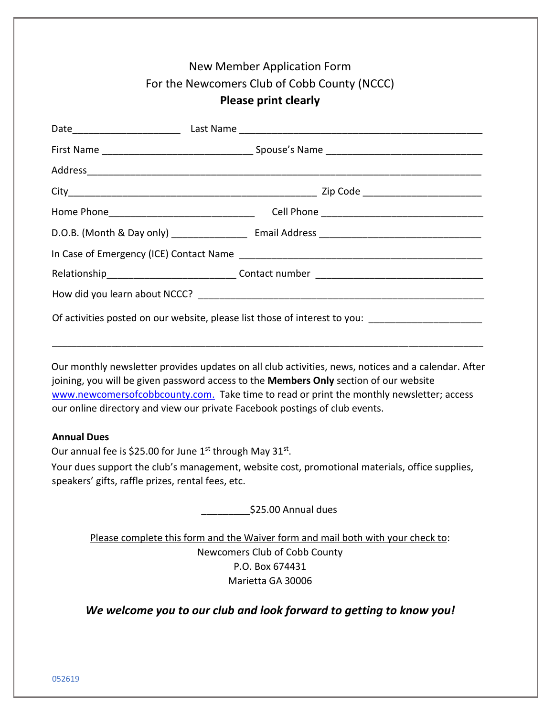| <b>New Member Application Form</b><br>For the Newcomers Club of Cobb County (NCCC)                                                                                                                                                                                                                                                                                      |  |
|-------------------------------------------------------------------------------------------------------------------------------------------------------------------------------------------------------------------------------------------------------------------------------------------------------------------------------------------------------------------------|--|
| <b>Please print clearly</b>                                                                                                                                                                                                                                                                                                                                             |  |
|                                                                                                                                                                                                                                                                                                                                                                         |  |
|                                                                                                                                                                                                                                                                                                                                                                         |  |
|                                                                                                                                                                                                                                                                                                                                                                         |  |
|                                                                                                                                                                                                                                                                                                                                                                         |  |
|                                                                                                                                                                                                                                                                                                                                                                         |  |
|                                                                                                                                                                                                                                                                                                                                                                         |  |
|                                                                                                                                                                                                                                                                                                                                                                         |  |
|                                                                                                                                                                                                                                                                                                                                                                         |  |
|                                                                                                                                                                                                                                                                                                                                                                         |  |
| Of activities posted on our website, please list those of interest to you:                                                                                                                                                                                                                                                                                              |  |
|                                                                                                                                                                                                                                                                                                                                                                         |  |
| Our monthly newsletter provides updates on all club activities, news, notices and a calendar. After<br>joining, you will be given password access to the Members Only section of our website<br>www.newcomersofcobbcounty.com. Take time to read or print the monthly newsletter; access<br>our online directory and view our private Facebook postings of club events. |  |
| <b>Annual Dues</b>                                                                                                                                                                                                                                                                                                                                                      |  |
| Our annual fee is \$25.00 for June 1 <sup>st</sup> through May 31 <sup>st</sup> .                                                                                                                                                                                                                                                                                       |  |
| Your dues support the club's management, website cost, promotional materials, office supplies,<br>speakers' gifts, raffle prizes, rental fees, etc.                                                                                                                                                                                                                     |  |

\_\_\_\_\_\_\_\_\_\$25.00 Annual dues

Please complete this form and the Waiver form and mail both with your check to: Newcomers Club of Cobb County P.O. Box 674431 Marietta GA 30006

*We welcome you to our club and look forward to getting to know you!*